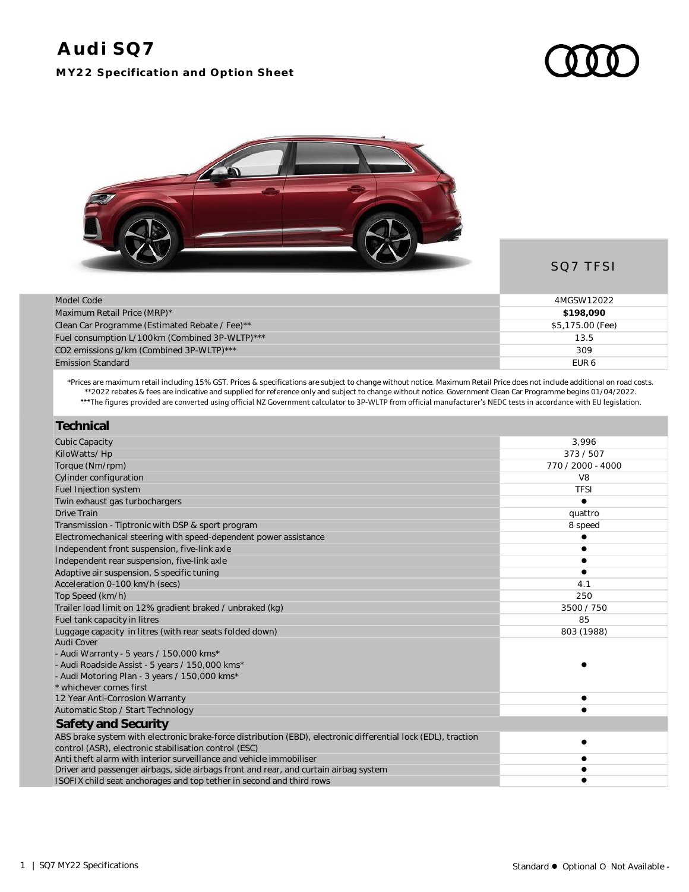## **MY22 Specification and Option Sheet**



## SQ7 TFSI

| Model Code                                     | 4MGSW12022       |
|------------------------------------------------|------------------|
| Maximum Retail Price (MRP)*                    | \$198,090        |
| Clean Car Programme (Estimated Rebate / Fee)** | \$5,175.00 (Fee) |
| Fuel consumption L/100km (Combined 3P-WLTP)*** | 13.5             |
| CO2 emissions g/km (Combined 3P-WLTP)***       | 309              |
| <b>Emission Standard</b>                       | FUR <sub>6</sub> |

\*Prices are maximum retail including 15% GST. Prices & specifications are subject to change without notice. Maximum Retail Price does not include additional on road costs. \*\*2022 rebates & fees are indicative and supplied for reference only and subject to change without notice. Government Clean Car Programme begins 01/04/2022.

| Technical                                                                                                     |                   |
|---------------------------------------------------------------------------------------------------------------|-------------------|
| <b>Cubic Capacity</b>                                                                                         | 3,996             |
| KiloWatts/Hp                                                                                                  | 373/507           |
| Torque (Nm/rpm)                                                                                               | 770 / 2000 - 4000 |
| Cylinder configuration                                                                                        | V <sub>8</sub>    |
| Fuel Injection system                                                                                         | <b>TFSI</b>       |
| Twin exhaust gas turbochargers                                                                                |                   |
| Drive Train                                                                                                   | quattro           |
| Transmission - Tiptronic with DSP & sport program                                                             | 8 speed           |
| Electromechanical steering with speed-dependent power assistance                                              |                   |
| Independent front suspension, five-link axle                                                                  |                   |
| Independent rear suspension, five-link axle                                                                   |                   |
| Adaptive air suspension, S specific tuning                                                                    |                   |
| Acceleration 0-100 km/h (secs)                                                                                | 4.1               |
| Top Speed (km/h)                                                                                              | 250               |
| Trailer load limit on 12% gradient braked / unbraked (kg)                                                     | 3500 / 750        |
| Fuel tank capacity in litres                                                                                  | 85                |
| Luggage capacity in litres (with rear seats folded down)                                                      | 803 (1988)        |
| Audi Cover                                                                                                    |                   |
| - Audi Warranty - 5 years / 150,000 kms*                                                                      |                   |
| - Audi Roadside Assist - 5 years / 150,000 kms*                                                               |                   |
| - Audi Motoring Plan - 3 years / 150,000 kms*                                                                 |                   |
| * whichever comes first                                                                                       |                   |
| 12 Year Anti-Corrosion Warranty                                                                               |                   |
| Automatic Stop / Start Technology                                                                             |                   |
| Safety and Security                                                                                           |                   |
| ABS brake system with electronic brake-force distribution (EBD), electronic differential lock (EDL), traction |                   |
| control (ASR), electronic stabilisation control (ESC)                                                         |                   |
| Anti theft alarm with interior surveillance and vehicle immobiliser                                           |                   |
| Driver and passenger airbags, side airbags front and rear, and curtain airbag system                          |                   |
| ISOFIX child seat anchorages and top tether in second and third rows                                          |                   |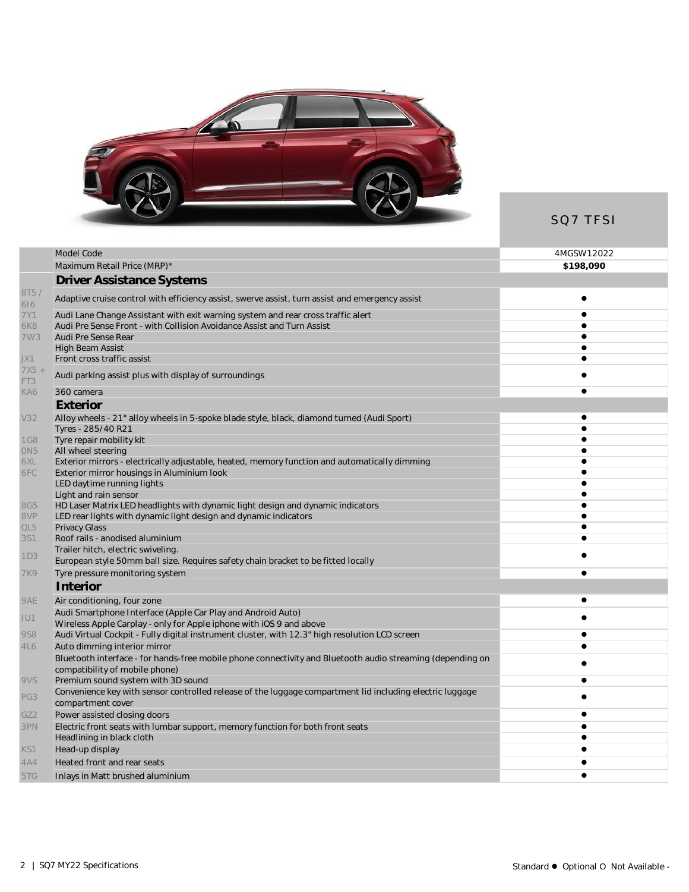

SQ7 TFSI

| Model Code                                                                                                 | 4MGSW12022 |
|------------------------------------------------------------------------------------------------------------|------------|
| Maximum Retail Price (MRP)*                                                                                | \$198,090  |
| <b>Driver Assistance Systems</b>                                                                           |            |
| Adaptive cruise control with efficiency assist, swerve assist, turn assist and emergency assist            | $\bullet$  |
| Audi Lane Change Assistant with exit warning system and rear cross traffic alert                           | $\bullet$  |
| Audi Pre Sense Front - with Collision Avoidance Assist and Turn Assist                                     |            |
| Audi Pre Sense Rear                                                                                        |            |
| <b>High Beam Assist</b>                                                                                    |            |
| Front cross traffic assist                                                                                 |            |
| Audi parking assist plus with display of surroundings                                                      |            |
| 360 camera                                                                                                 |            |
| Exterior                                                                                                   |            |
| Alloy wheels - 21" alloy wheels in 5-spoke blade style, black, diamond turned (Audi Sport)                 |            |
| Tyres - 285/40 R21                                                                                         |            |
| Tyre repair mobility kit                                                                                   |            |
| All wheel steering                                                                                         |            |
| Exterior mirrors - electrically adjustable, heated, memory function and automatically dimming              |            |
| Exterior mirror housings in Aluminium look                                                                 |            |
| LED daytime running lights                                                                                 |            |
| Light and rain sensor                                                                                      |            |
| HD Laser Matrix LED headlights with dynamic light design and dynamic indicators                            |            |
| LED rear lights with dynamic light design and dynamic indicators                                           |            |
| <b>Privacy Glass</b>                                                                                       |            |
| Roof rails - anodised aluminium                                                                            |            |
| Trailer hitch, electric swiveling.                                                                         |            |
| European style 50mm ball size. Requires safety chain bracket to be fitted locally                          |            |
| Tyre pressure monitoring system                                                                            |            |
| Interior                                                                                                   |            |
| Air conditioning, four zone                                                                                | $\bullet$  |
| Audi Smartphone Interface (Apple Car Play and Android Auto)                                                |            |
| Wireless Apple Carplay - only for Apple iphone with iOS 9 and above                                        |            |
| Audi Virtual Cockpit - Fully digital instrument cluster, with 12.3" high resolution LCD screen             | $\bullet$  |
| Auto dimming interior mirror                                                                               |            |
| Bluetooth interface - for hands-free mobile phone connectivity and Bluetooth audio streaming (depending on |            |
| compatibility of mobile phone)                                                                             |            |
| Premium sound system with 3D sound                                                                         | $\bullet$  |
| Convenience key with sensor controlled release of the luggage compartment lid including electric luggage   |            |
| compartment cover                                                                                          |            |
| Power assisted closing doors                                                                               |            |
| Electric front seats with lumbar support, memory function for both front seats                             |            |
| Headlining in black cloth                                                                                  |            |
| Head-up display                                                                                            |            |
| Heated front and rear seats                                                                                |            |
| Inlays in Matt brushed aluminium                                                                           |            |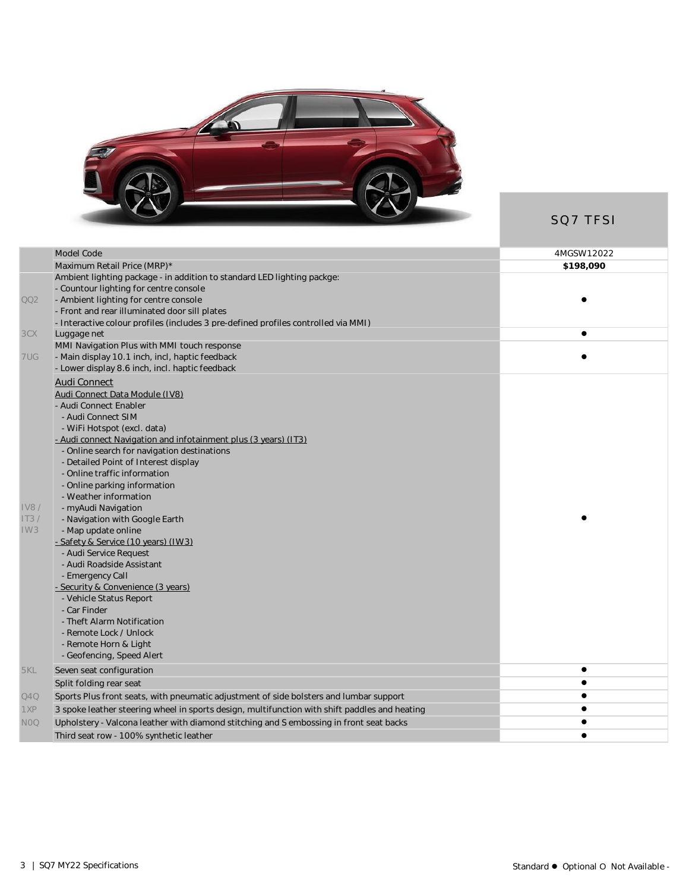

SQ7 TFSI

|             | Model Code                                                                                         | 4MGSW12022 |
|-------------|----------------------------------------------------------------------------------------------------|------------|
|             | Maximum Retail Price (MRP)*                                                                        | \$198,090  |
|             | Ambient lighting package - in addition to standard LED lighting packge:                            |            |
|             | - Countour lighting for centre console                                                             |            |
| QQ2         | - Ambient lighting for centre console                                                              |            |
|             | - Front and rear illuminated door sill plates                                                      |            |
|             | - Interactive colour profiles (includes 3 pre-defined profiles controlled via MMI)                 |            |
| 3CX         | Luggage net                                                                                        | $\bullet$  |
|             | MMI Navigation Plus with MMI touch response                                                        |            |
| 7UG         | - Main display 10.1 inch, incl, haptic feedback<br>- Lower display 8.6 inch, incl. haptic feedback |            |
|             |                                                                                                    |            |
|             | Audi Connect                                                                                       |            |
|             | Audi Connect Data Module (IV8)                                                                     |            |
|             | - Audi Connect Enabler<br>- Audi Connect SIM                                                       |            |
|             | - WiFi Hotspot (excl. data)                                                                        |            |
|             | - Audi connect Navigation and infotainment plus (3 years) (IT3)                                    |            |
|             | - Online search for navigation destinations                                                        |            |
|             | - Detailed Point of Interest display                                                               |            |
|             | - Online traffic information                                                                       |            |
|             | - Online parking information                                                                       |            |
|             | - Weather information                                                                              |            |
| <b>IV8/</b> | - myAudi Navigation                                                                                |            |
| IT3/        | - Navigation with Google Earth                                                                     |            |
| IW3         | - Map update online                                                                                |            |
|             | - Safety & Service (10 years) (IW3)                                                                |            |
|             | - Audi Service Request                                                                             |            |
|             | - Audi Roadside Assistant                                                                          |            |
|             | - Emergency Call                                                                                   |            |
|             | - Security & Convenience (3 years)                                                                 |            |
|             | - Vehicle Status Report<br>- Car Finder                                                            |            |
|             | - Theft Alarm Notification                                                                         |            |
|             | - Remote Lock / Unlock                                                                             |            |
|             | - Remote Horn & Light                                                                              |            |
|             | - Geofencing, Speed Alert                                                                          |            |
| 5KL         | Seven seat configuration                                                                           |            |
|             | Split folding rear seat                                                                            | $\bullet$  |
| Q4Q         | Sports Plus front seats, with pneumatic adjustment of side bolsters and lumbar support             |            |
| 1XP         | 3 spoke leather steering wheel in sports design, multifunction with shift paddles and heating      |            |
| NOQ         | Upholstery - Valcona leather with diamond stitching and S embossing in front seat backs            |            |
|             | Third seat row - 100% synthetic leather                                                            | $\bullet$  |
|             |                                                                                                    |            |